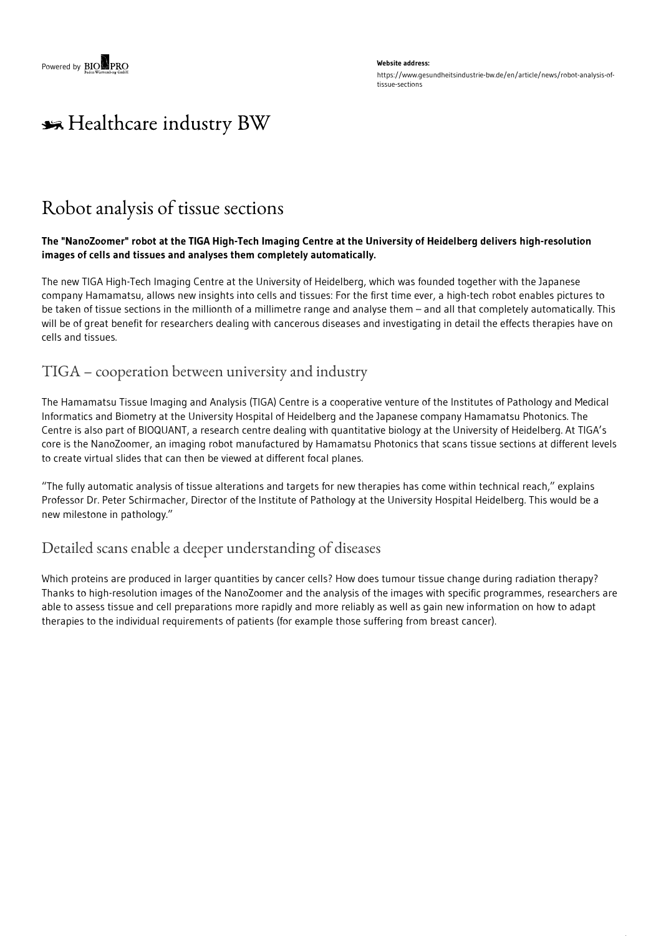# \*\* Healthcare industry BW

## Robot analysis of tissue sections

#### The "NanoZoomer" robot at the TIGA High-Tech Imaging Centre at the University of Heidelberg delivers high-resolution **images of cells and tissues and analyses them completely automatically.**

The new TIGA High-Tech Imaging Centre at the University of Heidelberg, which was founded together with the Japanese company Hamamatsu, allows new insights into cells and tissues: For the first time ever, a high-tech robot enables pictures to be taken of tissue sections in the millionth of a millimetre range and analyse them – and all that completely automatically. This will be of great benefit for researchers dealing with cancerous diseases and investigating in detail the effects therapies have on cells and tissues.

### TIGA – cooperation between university and industry

The Hamamatsu Tissue Imaging and Analysis (TIGA) Centre is a cooperative venture of the Institutes of Pathology and Medical Informatics and Biometry at the University Hospital of Heidelberg and the Japanese company Hamamatsu Photonics. The Centre is also part of BIOQUANT, a research centre dealing with quantitative biology at the University of Heidelberg. At TIGA's core is the NanoZoomer, an imaging robot manufactured by Hamamatsu Photonics that scans tissue sections at different levels to create virtual slides that can then be viewed at different focal planes.

"The fully automatic analysis of tissue alterations and targets for new therapies has come within technical reach," explains Professor Dr. Peter Schirmacher, Director of the Institute of Pathology at the University Hospital Heidelberg. This would be a new milestone in pathology."

### Detailed scans enable a deeper understanding of diseases

Which proteins are produced in larger quantities by cancer cells? How does tumour tissue change during radiation therapy? Thanks to high-resolution images of the NanoZoomer and the analysis of the images with specific programmes, researchers are able to assess tissue and cell preparations more rapidly and more reliably as well as gain new information on how to adapt therapies to the individual requirements of patients (for example those suffering from breast cancer).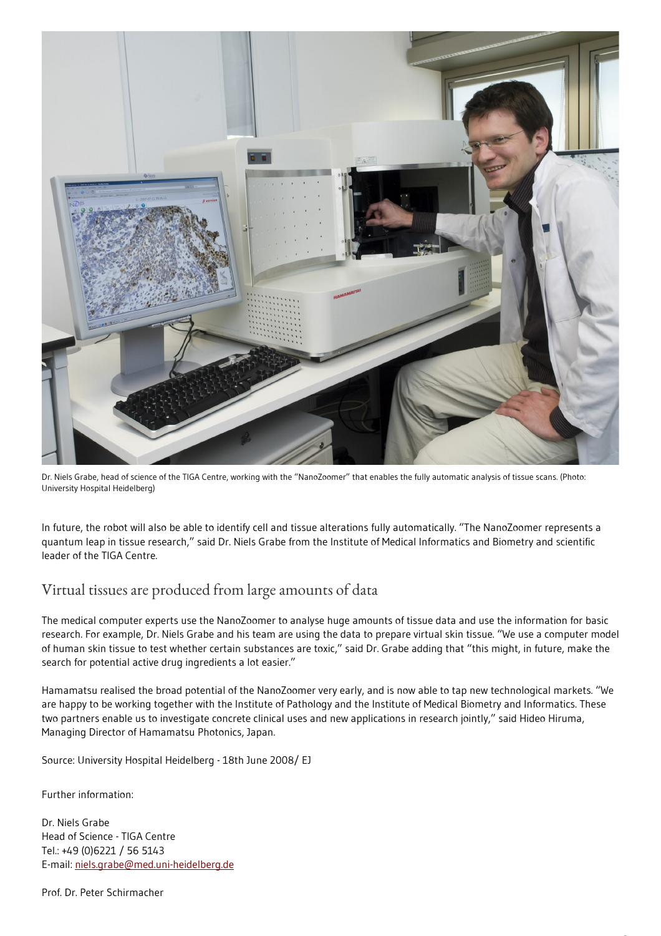

Dr. Niels Grabe, head of science of the TIGA Centre, working with the "NanoZoomer" that enables the fully automatic analysis of tissue scans. (Photo: University Hospital Heidelberg)

In future, the robot will also be able to identify cell and tissue alterations fully automatically. "The NanoZoomer represents a quantum leap in tissue research," said Dr. Niels Grabe from the Institute of Medical Informatics and Biometry and scientific leader of the TIGA Centre.

## Virtual tissues are produced from large amounts of data

The medical computer experts use the NanoZoomer to analyse huge amounts of tissue data and use the information for basic research. For example, Dr. Niels Grabe and his team are using the data to prepare virtual skin tissue. "We use a computer model of human skin tissue to test whether certain substances are toxic," said Dr. Grabe adding that "this might, in future, make the search for potential active drug ingredients a lot easier."

Hamamatsu realised the broad potential of the NanoZoomer very early, and is now able to tap new technological markets. "We are happy to be working together with the Institute of Pathology and the Institute of Medical Biometry and Informatics. These two partners enable us to investigate concrete clinical uses and new applications in research jointly," said Hideo Hiruma, Managing Director of Hamamatsu Photonics, Japan.

Source: University Hospital Heidelberg - 18th June 2008/ EJ

Further information:

Dr. Niels Grabe Head of Science - TIGA Centre Tel.: +49 (0)6221 / 56 5143 E-mail: [niels.grabe@med.uni-heidelberg.de](mailto:niels.grabe@med.uni-heidelberg.de)

Prof. Dr. Peter Schirmacher